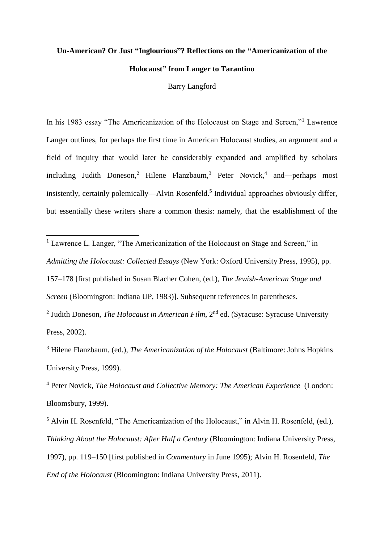# **Un-American? Or Just "Inglourious"? Reflections on the "Americanization of the Holocaust" from Langer to Tarantino**

Barry Langford

In his 1983 essay "The Americanization of the Holocaust on Stage and Screen,"<sup>1</sup> Lawrence Langer outlines, for perhaps the first time in American Holocaust studies, an argument and a field of inquiry that would later be considerably expanded and amplified by scholars including Judith Doneson,<sup>2</sup> Hilene Flanzbaum,<sup>3</sup> Peter Novick,<sup>4</sup> and—perhaps most insistently, certainly polemically—Alvin Rosenfeld.<sup>5</sup> Individual approaches obviously differ, but essentially these writers share a common thesis: namely, that the establishment of the

<sup>1</sup> Lawrence L. Langer, "The Americanization of the Holocaust on Stage and Screen," in *Admitting the Holocaust: Collected Essays* (New York: Oxford University Press, 1995), pp. 157–178 [first published in Susan Blacher Cohen, (ed.), *The Jewish-American Stage and Screen* (Bloomington: Indiana UP, 1983)]. Subsequent references in parentheses.

1

<sup>2</sup> Judith Doneson, *The Holocaust in American Film*, 2<sup>nd</sup> ed. (Syracuse: Syracuse University Press, 2002).

<sup>3</sup> Hilene Flanzbaum, (ed.), *The Americanization of the Holocaust* (Baltimore: Johns Hopkins University Press, 1999).

<sup>4</sup> Peter Novick, *The Holocaust and Collective Memory: The American Experience* (London: Bloomsbury, 1999).

<sup>5</sup> Alvin H. Rosenfeld, "The Americanization of the Holocaust," in Alvin H. Rosenfeld, (ed.), *Thinking About the Holocaust: After Half a Century* (Bloomington: Indiana University Press, 1997), pp. 119–150 [first published in *Commentary* in June 1995); Alvin H. Rosenfeld, *The End of the Holocaust* (Bloomington: Indiana University Press, 2011).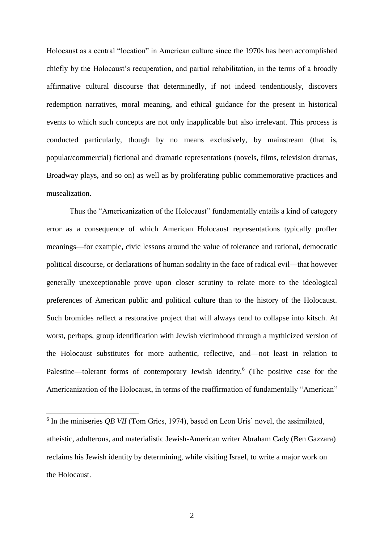Holocaust as a central "location" in American culture since the 1970s has been accomplished chiefly by the Holocaust's recuperation, and partial rehabilitation, in the terms of a broadly affirmative cultural discourse that determinedly, if not indeed tendentiously, discovers redemption narratives, moral meaning, and ethical guidance for the present in historical events to which such concepts are not only inapplicable but also irrelevant. This process is conducted particularly, though by no means exclusively, by mainstream (that is, popular/commercial) fictional and dramatic representations (novels, films, television dramas, Broadway plays, and so on) as well as by proliferating public commemorative practices and musealization.

Thus the "Americanization of the Holocaust" fundamentally entails a kind of category error as a consequence of which American Holocaust representations typically proffer meanings—for example, civic lessons around the value of tolerance and rational, democratic political discourse, or declarations of human sodality in the face of radical evil—that however generally unexceptionable prove upon closer scrutiny to relate more to the ideological preferences of American public and political culture than to the history of the Holocaust. Such bromides reflect a restorative project that will always tend to collapse into kitsch. At worst, perhaps, group identification with Jewish victimhood through a mythicized version of the Holocaust substitutes for more authentic, reflective, and—not least in relation to Palestine—tolerant forms of contemporary Jewish identity.<sup>6</sup> (The positive case for the Americanization of the Holocaust, in terms of the reaffirmation of fundamentally "American"

<sup>&</sup>lt;sup>6</sup> In the miniseries *QB VII* (Tom Gries, 1974), based on Leon Uris' novel, the assimilated, atheistic, adulterous, and materialistic Jewish-American writer Abraham Cady (Ben Gazzara) reclaims his Jewish identity by determining, while visiting Israel, to write a major work on the Holocaust.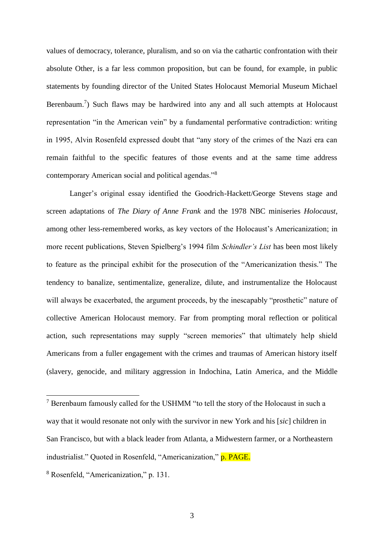values of democracy, tolerance, pluralism, and so on via the cathartic confrontation with their absolute Other, is a far less common proposition, but can be found, for example, in public statements by founding director of the United States Holocaust Memorial Museum Michael Berenbaum. $\frac{7}{1}$  Such flaws may be hardwired into any and all such attempts at Holocaust representation "in the American vein" by a fundamental performative contradiction: writing in 1995, Alvin Rosenfeld expressed doubt that "any story of the crimes of the Nazi era can remain faithful to the specific features of those events and at the same time address contemporary American social and political agendas."<sup>8</sup>

Langer's original essay identified the Goodrich-Hackett/George Stevens stage and screen adaptations of *The Diary of Anne Frank* and the 1978 NBC miniseries *Holocaust*, among other less-remembered works, as key vectors of the Holocaust's Americanization; in more recent publications, Steven Spielberg's 1994 film *Schindler's List* has been most likely to feature as the principal exhibit for the prosecution of the "Americanization thesis." The tendency to banalize, sentimentalize, generalize, dilute, and instrumentalize the Holocaust will always be exacerbated, the argument proceeds, by the inescapably "prosthetic" nature of collective American Holocaust memory. Far from prompting moral reflection or political action, such representations may supply "screen memories" that ultimately help shield Americans from a fuller engagement with the crimes and traumas of American history itself (slavery, genocide, and military aggression in Indochina, Latin America, and the Middle

<sup>7</sup> Berenbaum famously called for the USHMM "to tell the story of the Holocaust in such a way that it would resonate not only with the survivor in new York and his [*sic*] children in San Francisco, but with a black leader from Atlanta, a Midwestern farmer, or a Northeastern industrialist." Quoted in Rosenfeld, "Americanization," p. PAGE.

<sup>8</sup> Rosenfeld, "Americanization," p. 131.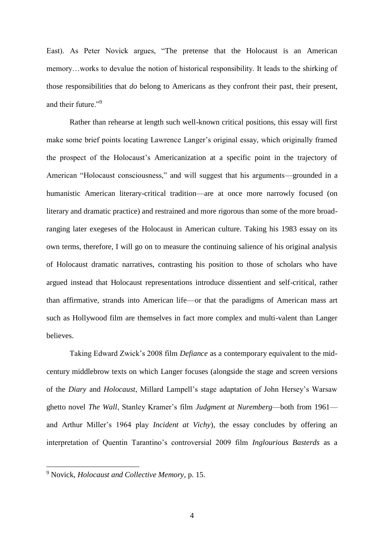East). As Peter Novick argues, "The pretense that the Holocaust is an American memory…works to devalue the notion of historical responsibility. It leads to the shirking of those responsibilities that *do* belong to Americans as they confront their past, their present, and their future."<sup>9</sup>

Rather than rehearse at length such well-known critical positions, this essay will first make some brief points locating Lawrence Langer's original essay, which originally framed the prospect of the Holocaust's Americanization at a specific point in the trajectory of American "Holocaust consciousness," and will suggest that his arguments—grounded in a humanistic American literary-critical tradition—are at once more narrowly focused (on literary and dramatic practice) and restrained and more rigorous than some of the more broadranging later exegeses of the Holocaust in American culture. Taking his 1983 essay on its own terms, therefore, I will go on to measure the continuing salience of his original analysis of Holocaust dramatic narratives, contrasting his position to those of scholars who have argued instead that Holocaust representations introduce dissentient and self-critical, rather than affirmative, strands into American life—or that the paradigms of American mass art such as Hollywood film are themselves in fact more complex and multi-valent than Langer believes.

Taking Edward Zwick's 2008 film *Defiance* as a contemporary equivalent to the midcentury middlebrow texts on which Langer focuses (alongside the stage and screen versions of the *Diary* and *Holocaust*, Millard Lampell's stage adaptation of John Hersey's Warsaw ghetto novel *The Wall*, Stanley Kramer's film *Judgment at Nuremberg*—both from 1961 and Arthur Miller's 1964 play *Incident at Vichy*), the essay concludes by offering an interpretation of Quentin Tarantino's controversial 2009 film *Inglourious Basterds* as a

<sup>9</sup> Novick, *Holocaust and Collective Memory*, p. 15.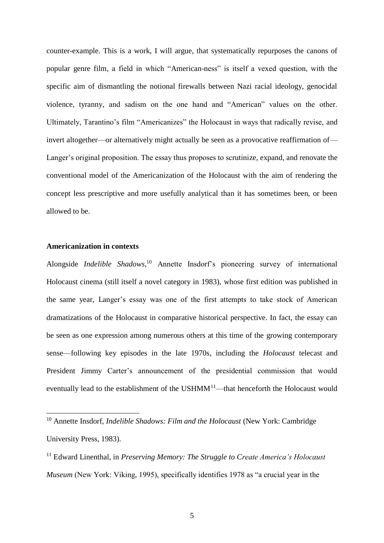counter-example. This is a work, I will argue, that systematically repurposes the canons of popular genre film, a field in which "American-ness" is itself a vexed question, with the specific aim of dismantling the notional firewalls between Nazi racial ideology, genocidal violence, tyranny, and sadism on the one hand and "American" values on the other. Ultimately, Tarantino's film "Americanizes" the Holocaust in ways that radically revise, and invert altogether—or alternatively might actually be seen as a provocative reaffirmation of— Langer's original proposition. The essay thus proposes to scrutinize, expand, and renovate the conventional model of the Americanization of the Holocaust with the aim of rendering the concept less prescriptive and more usefully analytical than it has sometimes been, or been allowed to be.

## **Americanization in contexts**

1

Alongside *Indelible Shadows*, <sup>10</sup> Annette Insdorf's pioneering survey of international Holocaust cinema (still itself a novel category in 1983), whose first edition was published in the same year, Langer's essay was one of the first attempts to take stock of American dramatizations of the Holocaust in comparative historical perspective. In fact, the essay can be seen as one expression among numerous others at this time of the growing contemporary sense—following key episodes in the late 1970s, including the *Holocaust* telecast and President Jimmy Carter's announcement of the presidential commission that would eventually lead to the establishment of the USHMM<sup>11</sup>—that henceforth the Holocaust would

<sup>10</sup> Annette Insdorf, *Indelible Shadows: Film and the Holocaust* (New York: Cambridge University Press, 1983).

<sup>11</sup> Edward Linenthal, in *Preserving Memory: The Struggle to Create America's Holocaust Museum* (New York: Viking, 1995), specifically identifies 1978 as "a crucial year in the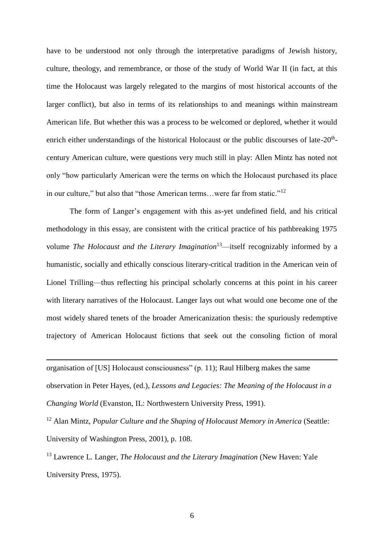have to be understood not only through the interpretative paradigms of Jewish history, culture, theology, and remembrance, or those of the study of World War II (in fact, at this time the Holocaust was largely relegated to the margins of most historical accounts of the larger conflict), but also in terms of its relationships to and meanings within mainstream American life. But whether this was a process to be welcomed or deplored, whether it would enrich either understandings of the historical Holocaust or the public discourses of late-20<sup>th</sup>century American culture, were questions very much still in play: Allen Mintz has noted not only "how particularly American were the terms on which the Holocaust purchased its place in our culture," but also that "those American terms…were far from static."<sup>12</sup>

The form of Langer's engagement with this as-yet undefined field, and his critical methodology in this essay, are consistent with the critical practice of his pathbreaking 1975 volume *The Holocaust and the Literary Imagination*<sup>13</sup>—itself recognizably informed by a humanistic, socially and ethically conscious literary-critical tradition in the American vein of Lionel Trilling—thus reflecting his principal scholarly concerns at this point in his career with literary narratives of the Holocaust. Langer lays out what would one become one of the most widely shared tenets of the broader Americanization thesis: the spuriously redemptive trajectory of American Holocaust fictions that seek out the consoling fiction of moral

organisation of [US] Holocaust consciousness" (p. 11); Raul Hilberg makes the same

1

observation in Peter Hayes, (ed.), *Lessons and Legacies: The Meaning of the Holocaust in a Changing World* (Evanston, IL: Northwestern University Press, 1991).

<sup>12</sup> Alan Mintz, *Popular Culture and the Shaping of Holocaust Memory in America* (Seattle: University of Washington Press, 2001), p. 108.

<sup>13</sup> Lawrence L. Langer, *The Holocaust and the Literary Imagination* (New Haven: Yale University Press, 1975).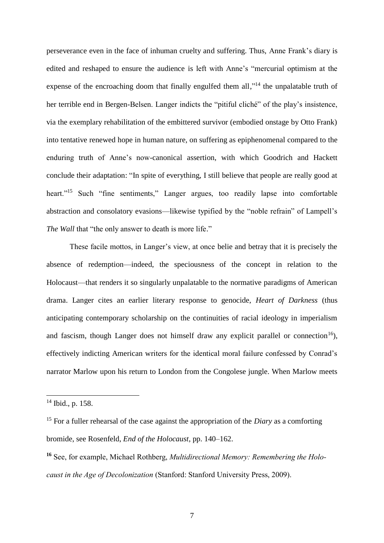perseverance even in the face of inhuman cruelty and suffering. Thus, Anne Frank's diary is edited and reshaped to ensure the audience is left with Anne's "mercurial optimism at the expense of the encroaching doom that finally engulfed them all,"<sup>14</sup> the unpalatable truth of her terrible end in Bergen-Belsen. Langer indicts the "pitiful cliché" of the play's insistence, via the exemplary rehabilitation of the embittered survivor (embodied onstage by Otto Frank) into tentative renewed hope in human nature, on suffering as epiphenomenal compared to the enduring truth of Anne's now-canonical assertion, with which Goodrich and Hackett conclude their adaptation: "In spite of everything, I still believe that people are really good at heart."<sup>15</sup> Such "fine sentiments," Langer argues, too readily lapse into comfortable abstraction and consolatory evasions—likewise typified by the "noble refrain" of Lampell's *The Wall* that "the only answer to death is more life."

These facile mottos, in Langer's view, at once belie and betray that it is precisely the absence of redemption—indeed, the speciousness of the concept in relation to the Holocaust—that renders it so singularly unpalatable to the normative paradigms of American drama. Langer cites an earlier literary response to genocide, *Heart of Darkness* (thus anticipating contemporary scholarship on the continuities of racial ideology in imperialism and fascism, though Langer does not himself draw any explicit parallel or connection<sup>16</sup>), effectively indicting American writers for the identical moral failure confessed by Conrad's narrator Marlow upon his return to London from the Congolese jungle. When Marlow meets

<sup>14</sup> Ibid., p. 158.

<sup>15</sup> For a fuller rehearsal of the case against the appropriation of the *Diary* as a comforting bromide, see Rosenfeld, *End of the Holocaust*, pp. 140–162.

**<sup>16</sup>** See, for example, Michael Rothberg, *Multidirectional Memory: Remembering the Holocaust in the Age of Decolonization* (Stanford: Stanford University Press, 2009).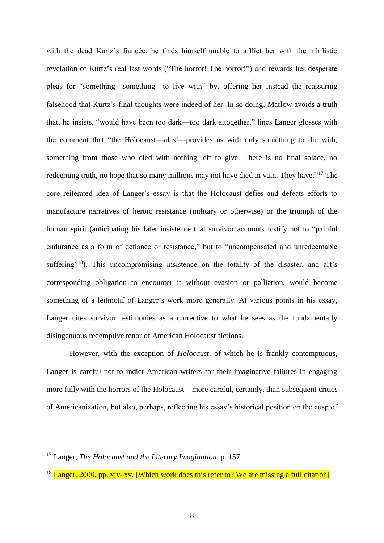with the dead Kurtz's fiancée, he finds himself unable to afflict her with the nihilistic revelation of Kurtz's real last words ("The horror! The horror!") and rewards her desperate pleas for "something—something—to live with" by, offering her instead the reassuring falsehood that Kurtz's final thoughts were indeed of her. In so doing, Marlow avoids a truth that, he insists, "would have been too dark—too dark altogether," lines Langer glosses with the comment that "the Holocaust—alas!—provides us with only something to die with, something from those who died with nothing left to give. There is no final solace, no redeeming truth, no hope that so many millions may not have died in vain. They have."<sup>17</sup> The core reiterated idea of Langer's essay is that the Holocaust defies and defeats efforts to manufacture narratives of heroic resistance (military or otherwise) or the triumph of the human spirit (anticipating his later insistence that survivor accounts testify not to "painful endurance as a form of defiance or resistance," but to "uncompensated and unredeemable suffering"<sup>18</sup>). This uncompromising insistence on the totality of the disaster, and art's corresponding obligation to encounter it without evasion or palliation, would become something of a leitmotif of Langer's work more generally. At various points in his essay, Langer cites survivor testimonies as a corrective to what he sees as the fundamentally disingenuous redemptive tenor of American Holocaust fictions.

However, with the exception of *Holocaust*, of which he is frankly contemptuous, Langer is careful not to indict American writers for their imaginative failures in engaging more fully with the horrors of the Holocaust—more careful, certainly, than subsequent critics of Americanization, but also, perhaps, reflecting his essay's historical position on the cusp of

.

<sup>17</sup> Langer, *The Holocaust and the Literary Imagination,* p. 157.

<sup>&</sup>lt;sup>18</sup> Langer, 2000, pp. xiv–xv. [Which work does this refer to? We are missing a full citation]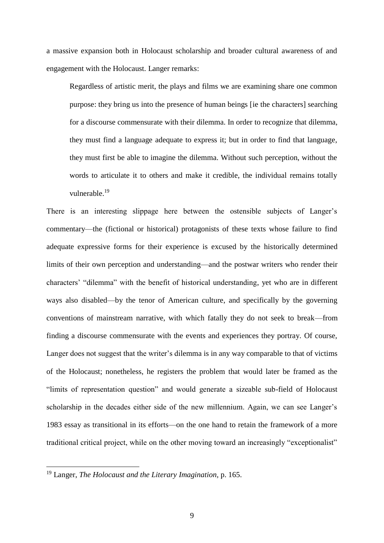a massive expansion both in Holocaust scholarship and broader cultural awareness of and engagement with the Holocaust. Langer remarks:

Regardless of artistic merit, the plays and films we are examining share one common purpose: they bring us into the presence of human beings [ie the characters] searching for a discourse commensurate with their dilemma. In order to recognize that dilemma, they must find a language adequate to express it; but in order to find that language, they must first be able to imagine the dilemma. Without such perception, without the words to articulate it to others and make it credible, the individual remains totally vulnerable.<sup>19</sup>

There is an interesting slippage here between the ostensible subjects of Langer's commentary—the (fictional or historical) protagonists of these texts whose failure to find adequate expressive forms for their experience is excused by the historically determined limits of their own perception and understanding—and the postwar writers who render their characters' "dilemma" with the benefit of historical understanding, yet who are in different ways also disabled—by the tenor of American culture, and specifically by the governing conventions of mainstream narrative, with which fatally they do not seek to break—from finding a discourse commensurate with the events and experiences they portray. Of course, Langer does not suggest that the writer's dilemma is in any way comparable to that of victims of the Holocaust; nonetheless, he registers the problem that would later be framed as the "limits of representation question" and would generate a sizeable sub-field of Holocaust scholarship in the decades either side of the new millennium. Again, we can see Langer's 1983 essay as transitional in its efforts—on the one hand to retain the framework of a more traditional critical project, while on the other moving toward an increasingly "exceptionalist"

<sup>19</sup> Langer, *The Holocaust and the Literary Imagination,* p. 165.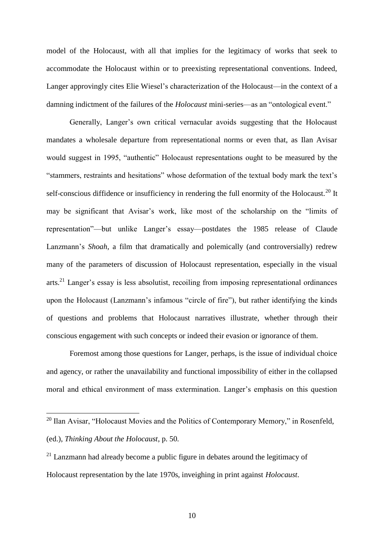model of the Holocaust, with all that implies for the legitimacy of works that seek to accommodate the Holocaust within or to preexisting representational conventions. Indeed, Langer approvingly cites Elie Wiesel's characterization of the Holocaust—in the context of a damning indictment of the failures of the *Holocaust* mini-series—as an "ontological event."

Generally, Langer's own critical vernacular avoids suggesting that the Holocaust mandates a wholesale departure from representational norms or even that, as Ilan Avisar would suggest in 1995, "authentic" Holocaust representations ought to be measured by the "stammers, restraints and hesitations" whose deformation of the textual body mark the text's self-conscious diffidence or insufficiency in rendering the full enormity of the Holocaust.<sup>20</sup> It may be significant that Avisar's work, like most of the scholarship on the "limits of representation"—but unlike Langer's essay—postdates the 1985 release of Claude Lanzmann's *Shoah*, a film that dramatically and polemically (and controversially) redrew many of the parameters of discussion of Holocaust representation, especially in the visual arts.<sup>21</sup> Langer's essay is less absolutist, recoiling from imposing representational ordinances upon the Holocaust (Lanzmann's infamous "circle of fire"), but rather identifying the kinds of questions and problems that Holocaust narratives illustrate, whether through their conscious engagement with such concepts or indeed their evasion or ignorance of them.

Foremost among those questions for Langer, perhaps, is the issue of individual choice and agency, or rather the unavailability and functional impossibility of either in the collapsed moral and ethical environment of mass extermination. Langer's emphasis on this question

 $20$  Ilan Avisar, "Holocaust Movies and the Politics of Contemporary Memory," in Rosenfeld, (ed.), *Thinking About the Holocaust*, p. 50.

 $21$  Lanzmann had already become a public figure in debates around the legitimacy of Holocaust representation by the late 1970s, inveighing in print against *Holocaust*.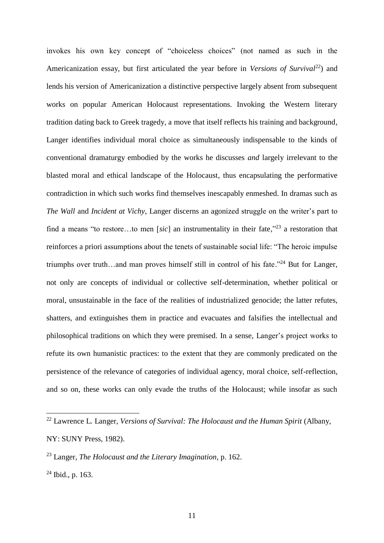invokes his own key concept of "choiceless choices" (not named as such in the Americanization essay, but first articulated the year before in *Versions of Survival*<sup>22</sup>) and lends his version of Americanization a distinctive perspective largely absent from subsequent works on popular American Holocaust representations. Invoking the Western literary tradition dating back to Greek tragedy, a move that itself reflects his training and background, Langer identifies individual moral choice as simultaneously indispensable to the kinds of conventional dramaturgy embodied by the works he discusses *and* largely irrelevant to the blasted moral and ethical landscape of the Holocaust, thus encapsulating the performative contradiction in which such works find themselves inescapably enmeshed. In dramas such as *The Wall* and *Incident at Vichy*, Langer discerns an agonized struggle on the writer's part to find a means "to restore…to men [*sic*] an instrumentality in their fate," <sup>23</sup> a restoration that reinforces a priori assumptions about the tenets of sustainable social life: "The heroic impulse triumphs over truth...and man proves himself still in control of his fate."<sup>24</sup> But for Langer, not only are concepts of individual or collective self-determination, whether political or moral, unsustainable in the face of the realities of industrialized genocide; the latter refutes, shatters, and extinguishes them in practice and evacuates and falsifies the intellectual and philosophical traditions on which they were premised. In a sense, Langer's project works to refute its own humanistic practices: to the extent that they are commonly predicated on the persistence of the relevance of categories of individual agency, moral choice, self-reflection, and so on, these works can only evade the truths of the Holocaust; while insofar as such

<sup>22</sup> Lawrence L. Langer, *Versions of Survival: The Holocaust and the Human Spirit* (Albany,

NY: SUNY Press, 1982).

<sup>23</sup> Langer, *The Holocaust and the Literary Imagination,* p. 162.

 $24$  Ibid., p. 163.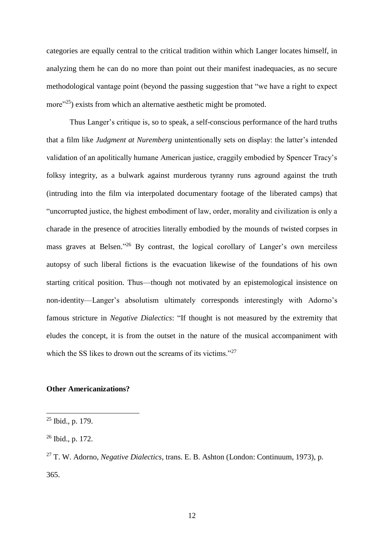categories are equally central to the critical tradition within which Langer locates himself, in analyzing them he can do no more than point out their manifest inadequacies, as no secure methodological vantage point (beyond the passing suggestion that "we have a right to expect more"<sup>25</sup>) exists from which an alternative aesthetic might be promoted.

Thus Langer's critique is, so to speak, a self-conscious performance of the hard truths that a film like *Judgment at Nuremberg* unintentionally sets on display: the latter's intended validation of an apolitically humane American justice, craggily embodied by Spencer Tracy's folksy integrity, as a bulwark against murderous tyranny runs aground against the truth (intruding into the film via interpolated documentary footage of the liberated camps) that "uncorrupted justice, the highest embodiment of law, order, morality and civilization is only a charade in the presence of atrocities literally embodied by the mounds of twisted corpses in mass graves at Belsen."<sup>26</sup> By contrast, the logical corollary of Langer's own merciless autopsy of such liberal fictions is the evacuation likewise of the foundations of his own starting critical position. Thus—though not motivated by an epistemological insistence on non-identity—Langer's absolutism ultimately corresponds interestingly with Adorno's famous stricture in *Negative Dialectics*: "If thought is not measured by the extremity that eludes the concept, it is from the outset in the nature of the musical accompaniment with which the SS likes to drown out the screams of its victims."<sup>27</sup>

## **Other Americanizations?**

 $25$  Ibid., p. 179.

 $26$  Ibid., p. 172.

<sup>27</sup> T. W. Adorno, *Negative Dialectics*, trans. E. B. Ashton (London: Continuum, 1973), p. 365.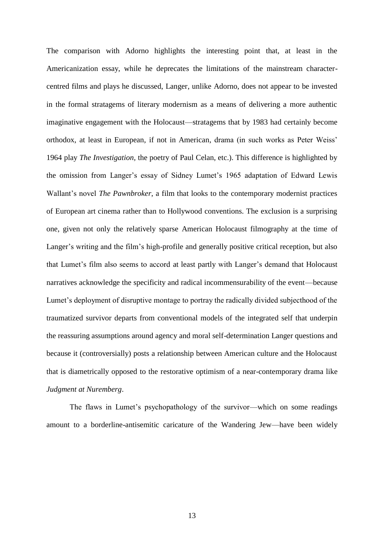The comparison with Adorno highlights the interesting point that, at least in the Americanization essay, while he deprecates the limitations of the mainstream charactercentred films and plays he discussed, Langer, unlike Adorno, does not appear to be invested in the formal stratagems of literary modernism as a means of delivering a more authentic imaginative engagement with the Holocaust—stratagems that by 1983 had certainly become orthodox, at least in European, if not in American, drama (in such works as Peter Weiss' 1964 play *The Investigation,* the poetry of Paul Celan, etc.). This difference is highlighted by the omission from Langer's essay of Sidney Lumet's 1965 adaptation of Edward Lewis Wallant's novel *The Pawnbroker*, a film that looks to the contemporary modernist practices of European art cinema rather than to Hollywood conventions. The exclusion is a surprising one, given not only the relatively sparse American Holocaust filmography at the time of Langer's writing and the film's high-profile and generally positive critical reception, but also that Lumet's film also seems to accord at least partly with Langer's demand that Holocaust narratives acknowledge the specificity and radical incommensurability of the event—because Lumet's deployment of disruptive montage to portray the radically divided subjecthood of the traumatized survivor departs from conventional models of the integrated self that underpin the reassuring assumptions around agency and moral self-determination Langer questions and because it (controversially) posts a relationship between American culture and the Holocaust that is diametrically opposed to the restorative optimism of a near-contemporary drama like *Judgment at Nuremberg*.

The flaws in Lumet's psychopathology of the survivor—which on some readings amount to a borderline-antisemitic caricature of the Wandering Jew—have been widely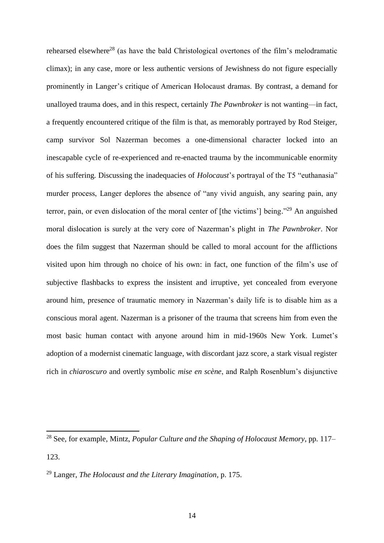rehearsed elsewhere<sup>28</sup> (as have the bald Christological overtones of the film's melodramatic climax); in any case, more or less authentic versions of Jewishness do not figure especially prominently in Langer's critique of American Holocaust dramas. By contrast, a demand for unalloyed trauma does, and in this respect, certainly *The Pawnbroker* is not wanting—in fact, a frequently encountered critique of the film is that, as memorably portrayed by Rod Steiger, camp survivor Sol Nazerman becomes a one-dimensional character locked into an inescapable cycle of re-experienced and re-enacted trauma by the incommunicable enormity of his suffering. Discussing the inadequacies of *Holocaust*'s portrayal of the T5 "euthanasia" murder process, Langer deplores the absence of "any vivid anguish, any searing pain, any terror, pain, or even dislocation of the moral center of [the victims'] being."<sup>29</sup> An anguished moral dislocation is surely at the very core of Nazerman's plight in *The Pawnbroker*. Nor does the film suggest that Nazerman should be called to moral account for the afflictions visited upon him through no choice of his own: in fact, one function of the film's use of subjective flashbacks to express the insistent and irruptive, yet concealed from everyone around him, presence of traumatic memory in Nazerman's daily life is to disable him as a conscious moral agent. Nazerman is a prisoner of the trauma that screens him from even the most basic human contact with anyone around him in mid-1960s New York. Lumet's adoption of a modernist cinematic language, with discordant jazz score, a stark visual register rich in *chiaroscuro* and overtly symbolic *mise en scène*, and Ralph Rosenblum's disjunctive

<sup>28</sup> See, for example, Mintz, *Popular Culture and the Shaping of Holocaust Memory*, pp. 117– 123.

<sup>29</sup> Langer, *The Holocaust and the Literary Imagination,* p. 175.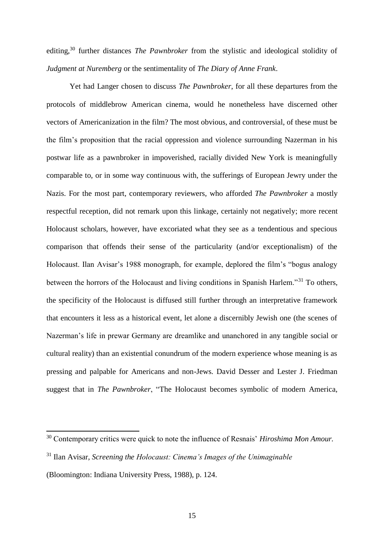editing,<sup>30</sup> further distances *The Pawnbroker* from the stylistic and ideological stolidity of *Judgment at Nuremberg* or the sentimentality of *The Diary of Anne Frank*.

Yet had Langer chosen to discuss *The Pawnbroker*, for all these departures from the protocols of middlebrow American cinema, would he nonetheless have discerned other vectors of Americanization in the film? The most obvious, and controversial, of these must be the film's proposition that the racial oppression and violence surrounding Nazerman in his postwar life as a pawnbroker in impoverished, racially divided New York is meaningfully comparable to, or in some way continuous with, the sufferings of European Jewry under the Nazis. For the most part, contemporary reviewers, who afforded *The Pawnbroker* a mostly respectful reception, did not remark upon this linkage, certainly not negatively; more recent Holocaust scholars, however, have excoriated what they see as a tendentious and specious comparison that offends their sense of the particularity (and/or exceptionalism) of the Holocaust. Ilan Avisar's 1988 monograph, for example, deplored the film's "bogus analogy between the horrors of the Holocaust and living conditions in Spanish Harlem."<sup>31</sup> To others, the specificity of the Holocaust is diffused still further through an interpretative framework that encounters it less as a historical event, let alone a discernibly Jewish one (the scenes of Nazerman's life in prewar Germany are dreamlike and unanchored in any tangible social or cultural reality) than an existential conundrum of the modern experience whose meaning is as pressing and palpable for Americans and non-Jews. David Desser and Lester J. Friedman suggest that in *The Pawnbroker*, "The Holocaust becomes symbolic of modern America,

<sup>30</sup> Contemporary critics were quick to note the influence of Resnais' *Hiroshima Mon Amour.*

<sup>31</sup> Ilan Avisar, *Screening the Holocaust: Cinema's Images of the Unimaginable*

<sup>(</sup>Bloomington: Indiana University Press, 1988), p. 124.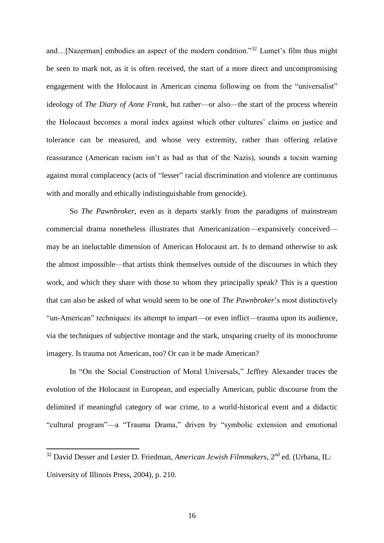and…[Nazerman] embodies an aspect of the modern condition."<sup>32</sup> Lumet's film thus might be seen to mark not, as it is often received, the start of a more direct and uncompromising engagement with the Holocaust in American cinema following on from the "universalist" ideology of *The Diary of Anne Frank*, but rather—or also—the start of the process wherein the Holocaust becomes a moral index against which other cultures' claims on justice and tolerance can be measured, and whose very extremity, rather than offering relative reassurance (American racism isn't as bad as that of the Nazis), sounds a tocsin warning against moral complacency (acts of "lesser" racial discrimination and violence are continuous with and morally and ethically indistinguishable from genocide).

So *The Pawnbroker*, even as it departs starkly from the paradigms of mainstream commercial drama nonetheless illustrates that Americanization—expansively conceived may be an ineluctable dimension of American Holocaust art. Is to demand otherwise to ask the almost impossible—that artists think themselves outside of the discourses in which they work, and which they share with those to whom they principally speak? This is a question that can also be asked of what would seem to be one of *The Pawnbroker*'s most distinctively "un-American" techniques: its attempt to impart—or even inflict—trauma upon its audience, via the techniques of subjective montage and the stark, unsparing cruelty of its monochrome imagery. Is trauma not American, too? Or can it be made American?

In "On the Social Construction of Moral Universals," Jeffrey Alexander traces the evolution of the Holocaust in European, and especially American, public discourse from the delimited if meaningful category of war crime, to a world-historical event and a didactic "cultural program"—a "Trauma Drama," driven by "symbolic extension and emotional

.

<sup>&</sup>lt;sup>32</sup> David Desser and Lester D. Friedman, *American Jewish Filmmakers*, 2<sup>nd</sup> ed. (Urbana, IL: University of Illinois Press, 2004), p. 210.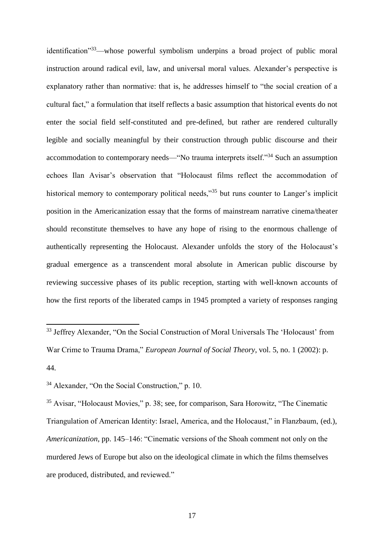identification"<sup>33</sup>—whose powerful symbolism underpins a broad project of public moral instruction around radical evil, law, and universal moral values. Alexander's perspective is explanatory rather than normative: that is, he addresses himself to "the social creation of a cultural fact," a formulation that itself reflects a basic assumption that historical events do not enter the social field self-constituted and pre-defined, but rather are rendered culturally legible and socially meaningful by their construction through public discourse and their accommodation to contemporary needs—"No trauma interprets itself."<sup>34</sup> Such an assumption echoes Ilan Avisar's observation that "Holocaust films reflect the accommodation of historical memory to contemporary political needs,"<sup>35</sup> but runs counter to Langer's implicit position in the Americanization essay that the forms of mainstream narrative cinema/theater should reconstitute themselves to have any hope of rising to the enormous challenge of authentically representing the Holocaust. Alexander unfolds the story of the Holocaust's gradual emergence as a transcendent moral absolute in American public discourse by reviewing successive phases of its public reception, starting with well-known accounts of how the first reports of the liberated camps in 1945 prompted a variety of responses ranging

1

<sup>35</sup> Avisar, "Holocaust Movies," p. 38; see, for comparison, Sara Horowitz, "The Cinematic Triangulation of American Identity: Israel, America, and the Holocaust," in Flanzbaum, (ed.), *Americanization*, pp. 145–146: "Cinematic versions of the Shoah comment not only on the murdered Jews of Europe but also on the ideological climate in which the films themselves are produced, distributed, and reviewed."

<sup>&</sup>lt;sup>33</sup> Jeffrey Alexander, "On the Social Construction of Moral Universals The 'Holocaust' from War Crime to Trauma Drama," *European Journal of Social Theory*, vol. 5, no. 1 (2002): p. 44.

<sup>34</sup> Alexander, "On the Social Construction," p. 10.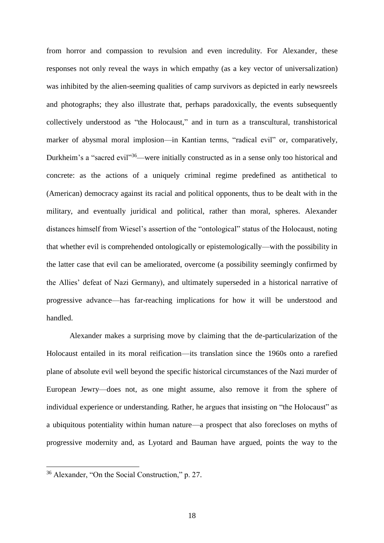from horror and compassion to revulsion and even incredulity. For Alexander, these responses not only reveal the ways in which empathy (as a key vector of universalization) was inhibited by the alien-seeming qualities of camp survivors as depicted in early newsreels and photographs; they also illustrate that, perhaps paradoxically, the events subsequently collectively understood as "the Holocaust," and in turn as a transcultural, transhistorical marker of abysmal moral implosion—in Kantian terms, "radical evil" or, comparatively, Durkheim's a "sacred evil"<sup>36</sup>—were initially constructed as in a sense only too historical and concrete: as the actions of a uniquely criminal regime predefined as antithetical to (American) democracy against its racial and political opponents, thus to be dealt with in the military, and eventually juridical and political, rather than moral, spheres. Alexander distances himself from Wiesel's assertion of the "ontological" status of the Holocaust, noting that whether evil is comprehended ontologically or epistemologically—with the possibility in the latter case that evil can be ameliorated, overcome (a possibility seemingly confirmed by the Allies' defeat of Nazi Germany), and ultimately superseded in a historical narrative of progressive advance—has far-reaching implications for how it will be understood and handled.

Alexander makes a surprising move by claiming that the de-particularization of the Holocaust entailed in its moral reification—its translation since the 1960s onto a rarefied plane of absolute evil well beyond the specific historical circumstances of the Nazi murder of European Jewry—does not, as one might assume, also remove it from the sphere of individual experience or understanding. Rather, he argues that insisting on "the Holocaust" as a ubiquitous potentiality within human nature—a prospect that also forecloses on myths of progressive modernity and, as Lyotard and Bauman have argued, points the way to the

<sup>36</sup> Alexander, "On the Social Construction," p. 27.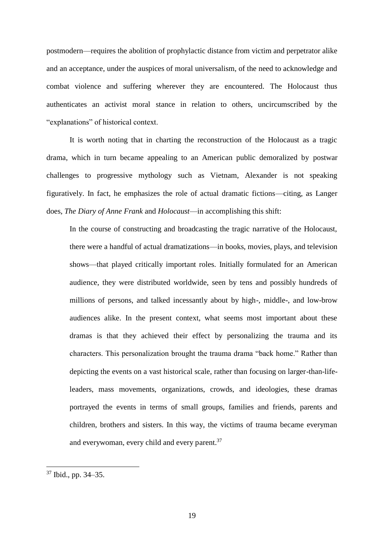postmodern—requires the abolition of prophylactic distance from victim and perpetrator alike and an acceptance, under the auspices of moral universalism, of the need to acknowledge and combat violence and suffering wherever they are encountered. The Holocaust thus authenticates an activist moral stance in relation to others, uncircumscribed by the "explanations" of historical context.

It is worth noting that in charting the reconstruction of the Holocaust as a tragic drama, which in turn became appealing to an American public demoralized by postwar challenges to progressive mythology such as Vietnam, Alexander is not speaking figuratively. In fact, he emphasizes the role of actual dramatic fictions—citing, as Langer does, *The Diary of Anne Frank* and *Holocaust*—in accomplishing this shift:

In the course of constructing and broadcasting the tragic narrative of the Holocaust, there were a handful of actual dramatizations—in books, movies, plays, and television shows—that played critically important roles. Initially formulated for an American audience, they were distributed worldwide, seen by tens and possibly hundreds of millions of persons, and talked incessantly about by high-, middle-, and low-brow audiences alike. In the present context, what seems most important about these dramas is that they achieved their effect by personalizing the trauma and its characters. This personalization brought the trauma drama "back home." Rather than depicting the events on a vast historical scale, rather than focusing on larger-than-lifeleaders, mass movements, organizations, crowds, and ideologies, these dramas portrayed the events in terms of small groups, families and friends, parents and children, brothers and sisters. In this way, the victims of trauma became everyman and everywoman, every child and every parent.<sup>37</sup>

<sup>37</sup> Ibid., pp. 34–35.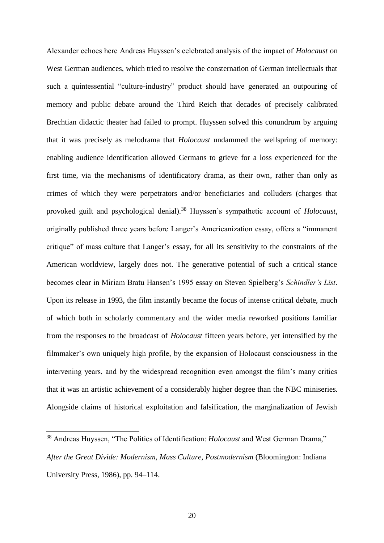Alexander echoes here Andreas Huyssen's celebrated analysis of the impact of *Holocaust* on West German audiences, which tried to resolve the consternation of German intellectuals that such a quintessential "culture-industry" product should have generated an outpouring of memory and public debate around the Third Reich that decades of precisely calibrated Brechtian didactic theater had failed to prompt. Huyssen solved this conundrum by arguing that it was precisely as melodrama that *Holocaust* undammed the wellspring of memory: enabling audience identification allowed Germans to grieve for a loss experienced for the first time, via the mechanisms of identificatory drama, as their own, rather than only as crimes of which they were perpetrators and/or beneficiaries and colluders (charges that provoked guilt and psychological denial).<sup>38</sup> Huyssen's sympathetic account of *Holocaust*, originally published three years before Langer's Americanization essay, offers a "immanent critique" of mass culture that Langer's essay, for all its sensitivity to the constraints of the American worldview, largely does not. The generative potential of such a critical stance becomes clear in Miriam Bratu Hansen's 1995 essay on Steven Spielberg's *Schindler's List.*  Upon its release in 1993, the film instantly became the focus of intense critical debate, much of which both in scholarly commentary and the wider media reworked positions familiar from the responses to the broadcast of *Holocaust* fifteen years before, yet intensified by the filmmaker's own uniquely high profile, by the expansion of Holocaust consciousness in the intervening years, and by the widespread recognition even amongst the film's many critics that it was an artistic achievement of a considerably higher degree than the NBC miniseries. Alongside claims of historical exploitation and falsification, the marginalization of Jewish

<sup>38</sup> Andreas Huyssen, "The Politics of Identification: *Holocaust* and West German Drama," *After the Great Divide: Modernism, Mass Culture, Postmodernism* (Bloomington: Indiana University Press, 1986), pp. 94–114.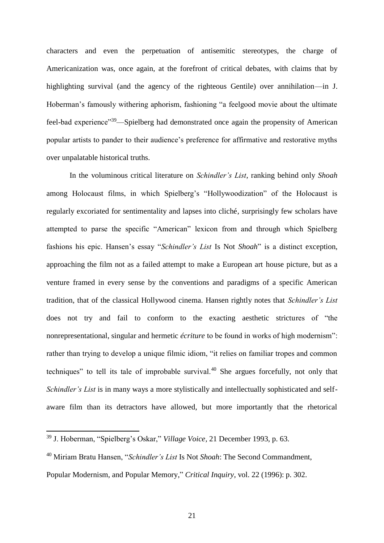characters and even the perpetuation of antisemitic stereotypes, the charge of Americanization was, once again, at the forefront of critical debates, with claims that by highlighting survival (and the agency of the righteous Gentile) over annihilation—in J. Hoberman's famously withering aphorism, fashioning "a feelgood movie about the ultimate feel-bad experience"<sup>39</sup>—Spielberg had demonstrated once again the propensity of American popular artists to pander to their audience's preference for affirmative and restorative myths over unpalatable historical truths.

In the voluminous critical literature on *Schindler's List*, ranking behind only *Shoah* among Holocaust films, in which Spielberg's "Hollywoodization" of the Holocaust is regularly excoriated for sentimentality and lapses into cliché, surprisingly few scholars have attempted to parse the specific "American" lexicon from and through which Spielberg fashions his epic. Hansen's essay "*Schindler's List* Is Not *Shoah*" is a distinct exception, approaching the film not as a failed attempt to make a European art house picture, but as a venture framed in every sense by the conventions and paradigms of a specific American tradition, that of the classical Hollywood cinema. Hansen rightly notes that *Schindler's List* does not try and fail to conform to the exacting aesthetic strictures of "the nonrepresentational, singular and hermetic *écriture* to be found in works of high modernism": rather than trying to develop a unique filmic idiom, "it relies on familiar tropes and common techniques" to tell its tale of improbable survival.<sup>40</sup> She argues forcefully, not only that *Schindler's List* is in many ways a more stylistically and intellectually sophisticated and selfaware film than its detractors have allowed, but more importantly that the rhetorical

<sup>39</sup> J. Hoberman, "Spielberg's Oskar," *Village Voice,* 21 December 1993, p. 63.

<sup>40</sup> Miriam Bratu Hansen, "*Schindler's List* Is Not *Shoah*: The Second Commandment,

Popular Modernism, and Popular Memory," *Critical Inquiry*, vol. 22 (1996): p. 302.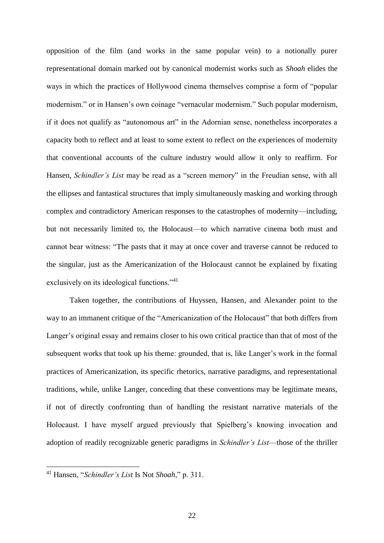opposition of the film (and works in the same popular vein) to a notionally purer representational domain marked out by canonical modernist works such as *Shoah* elides the ways in which the practices of Hollywood cinema themselves comprise a form of "popular modernism." or in Hansen's own coinage "vernacular modernism." Such popular modernism, if it does not qualify as "autonomous art" in the Adornian sense, nonetheless incorporates a capacity both to reflect and at least to some extent to reflect *on* the experiences of modernity that conventional accounts of the culture industry would allow it only to reaffirm. For Hansen, *Schindler's List* may be read as a "screen memory" in the Freudian sense, with all the ellipses and fantastical structures that imply simultaneously masking and working through complex and contradictory American responses to the catastrophes of modernity—including, but not necessarily limited to, the Holocaust—to which narrative cinema both must and cannot bear witness: "The pasts that it may at once cover and traverse cannot be reduced to the singular, just as the Americanization of the Holocaust cannot be explained by fixating exclusively on its ideological functions."<sup>41</sup>

Taken together, the contributions of Huyssen, Hansen, and Alexander point to the way to an immanent critique of the "Americanization of the Holocaust" that both differs from Langer's original essay and remains closer to his own critical practice than that of most of the subsequent works that took up his theme: grounded, that is, like Langer's work in the formal practices of Americanization, its specific rhetorics, narrative paradigms, and representational traditions, while, unlike Langer, conceding that these conventions may be legitimate means, if not of directly confronting than of handling the resistant narrative materials of the Holocaust. I have myself argued previously that Spielberg's knowing invocation and adoption of readily recognizable generic paradigms in *Schindler's List*—those of the thriller

<sup>41</sup> Hansen, "*Schindler's List* Is Not *Shoah*," p. 311.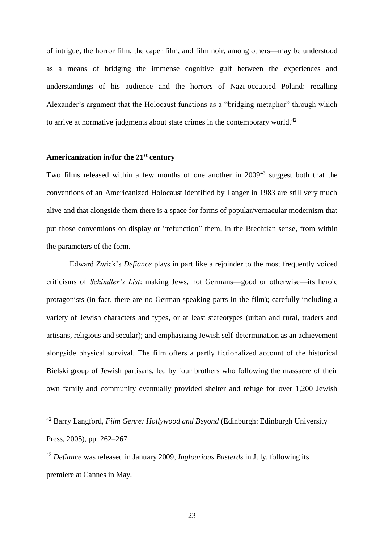of intrigue, the horror film, the caper film, and film noir, among others—may be understood as a means of bridging the immense cognitive gulf between the experiences and understandings of his audience and the horrors of Nazi-occupied Poland: recalling Alexander's argument that the Holocaust functions as a "bridging metaphor" through which to arrive at normative judgments about state crimes in the contemporary world.<sup>42</sup>

#### **Americanization in/for the 21st century**

1

Two films released within a few months of one another in  $2009^{43}$  suggest both that the conventions of an Americanized Holocaust identified by Langer in 1983 are still very much alive and that alongside them there is a space for forms of popular/vernacular modernism that put those conventions on display or "refunction" them, in the Brechtian sense, from within the parameters of the form.

Edward Zwick's *Defiance* plays in part like a rejoinder to the most frequently voiced criticisms of *Schindler's List*: making Jews, not Germans—good or otherwise—its heroic protagonists (in fact, there are no German-speaking parts in the film); carefully including a variety of Jewish characters and types, or at least stereotypes (urban and rural, traders and artisans, religious and secular); and emphasizing Jewish self-determination as an achievement alongside physical survival. The film offers a partly fictionalized account of the historical Bielski group of Jewish partisans, led by four brothers who following the massacre of their own family and community eventually provided shelter and refuge for over 1,200 Jewish

<sup>42</sup> Barry Langford, *Film Genre: Hollywood and Beyond* (Edinburgh: Edinburgh University Press, 2005), pp. 262–267.

<sup>43</sup> *Defiance* was released in January 2009, *Inglourious Basterds* in July, following its premiere at Cannes in May.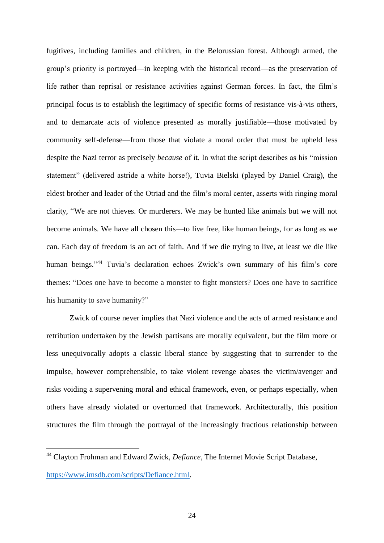fugitives, including families and children, in the Belorussian forest. Although armed, the group's priority is portrayed—in keeping with the historical record—as the preservation of life rather than reprisal or resistance activities against German forces. In fact, the film's principal focus is to establish the legitimacy of specific forms of resistance vis-à-vis others, and to demarcate acts of violence presented as morally justifiable—those motivated by community self-defense—from those that violate a moral order that must be upheld less despite the Nazi terror as precisely *because* of it. In what the script describes as his "mission statement" (delivered astride a white horse!), Tuvia Bielski (played by Daniel Craig), the eldest brother and leader of the Otriad and the film's moral center, asserts with ringing moral clarity, "We are not thieves. Or murderers. We may be hunted like animals but we will not become animals. We have all chosen this—to live free, like human beings, for as long as we can. Each day of freedom is an act of faith. And if we die trying to live, at least we die like human beings." <sup>44</sup> Tuvia's declaration echoes Zwick's own summary of his film's core themes: "Does one have to become a monster to fight monsters? Does one have to sacrifice his humanity to save humanity?"

Zwick of course never implies that Nazi violence and the acts of armed resistance and retribution undertaken by the Jewish partisans are morally equivalent, but the film more or less unequivocally adopts a classic liberal stance by suggesting that to surrender to the impulse, however comprehensible, to take violent revenge abases the victim/avenger and risks voiding a supervening moral and ethical framework, even, or perhaps especially, when others have already violated or overturned that framework. Architecturally, this position structures the film through the portrayal of the increasingly fractious relationship between

.

<sup>44</sup> Clayton Frohman and Edward Zwick, *Defiance*, The Internet Movie Script Database,

[https://www.imsdb.com/scripts/Defiance.html.](https://www.imsdb.com/scripts/Defiance.html)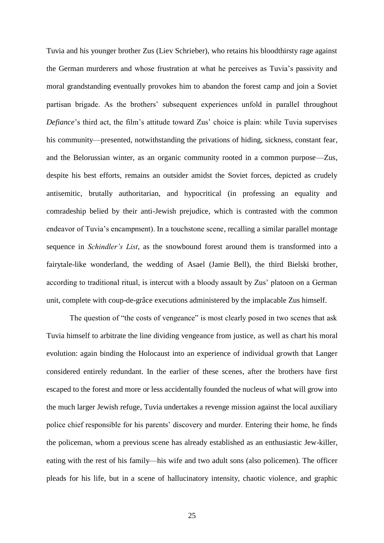Tuvia and his younger brother Zus (Liev Schrieber), who retains his bloodthirsty rage against the German murderers and whose frustration at what he perceives as Tuvia's passivity and moral grandstanding eventually provokes him to abandon the forest camp and join a Soviet partisan brigade. As the brothers' subsequent experiences unfold in parallel throughout *Defiance*'s third act, the film's attitude toward Zus' choice is plain: while Tuvia supervises his community—presented, notwithstanding the privations of hiding, sickness, constant fear, and the Belorussian winter, as an organic community rooted in a common purpose—Zus, despite his best efforts, remains an outsider amidst the Soviet forces, depicted as crudely antisemitic, brutally authoritarian, and hypocritical (in professing an equality and comradeship belied by their anti-Jewish prejudice, which is contrasted with the common endeavor of Tuvia's encampment). In a touchstone scene, recalling a similar parallel montage sequence in *Schindler's List*, as the snowbound forest around them is transformed into a fairytale-like wonderland, the wedding of Asael (Jamie Bell), the third Bielski brother, according to traditional ritual, is intercut with a bloody assault by Zus' platoon on a German unit, complete with coup-de-grâce executions administered by the implacable Zus himself.

The question of "the costs of vengeance" is most clearly posed in two scenes that ask Tuvia himself to arbitrate the line dividing vengeance from justice, as well as chart his moral evolution: again binding the Holocaust into an experience of individual growth that Langer considered entirely redundant. In the earlier of these scenes, after the brothers have first escaped to the forest and more or less accidentally founded the nucleus of what will grow into the much larger Jewish refuge, Tuvia undertakes a revenge mission against the local auxiliary police chief responsible for his parents' discovery and murder. Entering their home, he finds the policeman, whom a previous scene has already established as an enthusiastic Jew-killer, eating with the rest of his family—his wife and two adult sons (also policemen). The officer pleads for his life, but in a scene of hallucinatory intensity, chaotic violence, and graphic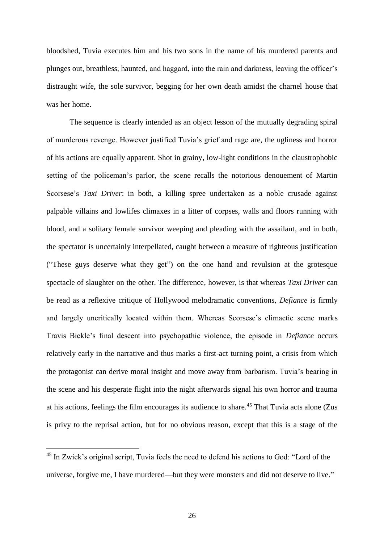bloodshed, Tuvia executes him and his two sons in the name of his murdered parents and plunges out, breathless, haunted, and haggard, into the rain and darkness, leaving the officer's distraught wife, the sole survivor, begging for her own death amidst the charnel house that was her home.

The sequence is clearly intended as an object lesson of the mutually degrading spiral of murderous revenge. However justified Tuvia's grief and rage are, the ugliness and horror of his actions are equally apparent. Shot in grainy, low-light conditions in the claustrophobic setting of the policeman's parlor, the scene recalls the notorious denouement of Martin Scorsese's *Taxi Driver*: in both, a killing spree undertaken as a noble crusade against palpable villains and lowlifes climaxes in a litter of corpses, walls and floors running with blood, and a solitary female survivor weeping and pleading with the assailant, and in both, the spectator is uncertainly interpellated, caught between a measure of righteous justification ("These guys deserve what they get") on the one hand and revulsion at the grotesque spectacle of slaughter on the other. The difference, however, is that whereas *Taxi Driver* can be read as a reflexive critique of Hollywood melodramatic conventions, *Defiance* is firmly and largely uncritically located within them. Whereas Scorsese's climactic scene marks Travis Bickle's final descent into psychopathic violence, the episode in *Defiance* occurs relatively early in the narrative and thus marks a first-act turning point, a crisis from which the protagonist can derive moral insight and move away from barbarism. Tuvia's bearing in the scene and his desperate flight into the night afterwards signal his own horror and trauma at his actions, feelings the film encourages its audience to share.<sup>45</sup> That Tuvia acts alone (Zus) is privy to the reprisal action, but for no obvious reason, except that this is a stage of the

.

<sup>&</sup>lt;sup>45</sup> In Zwick's original script, Tuvia feels the need to defend his actions to God: "Lord of the universe, forgive me, I have murdered—but they were monsters and did not deserve to live."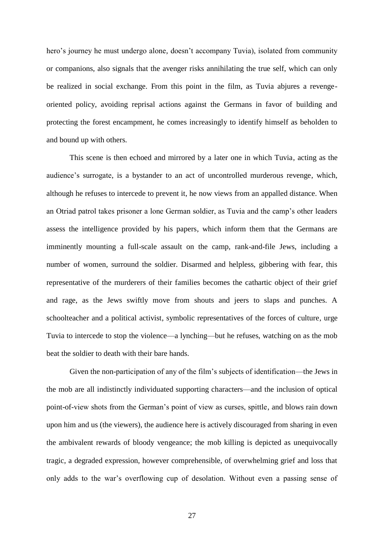hero's journey he must undergo alone, doesn't accompany Tuvia), isolated from community or companions, also signals that the avenger risks annihilating the true self, which can only be realized in social exchange. From this point in the film, as Tuvia abjures a revengeoriented policy, avoiding reprisal actions against the Germans in favor of building and protecting the forest encampment, he comes increasingly to identify himself as beholden to and bound up with others.

This scene is then echoed and mirrored by a later one in which Tuvia, acting as the audience's surrogate, is a bystander to an act of uncontrolled murderous revenge, which, although he refuses to intercede to prevent it, he now views from an appalled distance. When an Otriad patrol takes prisoner a lone German soldier, as Tuvia and the camp's other leaders assess the intelligence provided by his papers, which inform them that the Germans are imminently mounting a full-scale assault on the camp, rank-and-file Jews, including a number of women, surround the soldier. Disarmed and helpless, gibbering with fear, this representative of the murderers of their families becomes the cathartic object of their grief and rage, as the Jews swiftly move from shouts and jeers to slaps and punches. A schoolteacher and a political activist, symbolic representatives of the forces of culture, urge Tuvia to intercede to stop the violence—a lynching—but he refuses, watching on as the mob beat the soldier to death with their bare hands.

Given the non-participation of any of the film's subjects of identification—the Jews in the mob are all indistinctly individuated supporting characters—and the inclusion of optical point-of-view shots from the German's point of view as curses, spittle, and blows rain down upon him and us (the viewers), the audience here is actively discouraged from sharing in even the ambivalent rewards of bloody vengeance; the mob killing is depicted as unequivocally tragic, a degraded expression, however comprehensible, of overwhelming grief and loss that only adds to the war's overflowing cup of desolation. Without even a passing sense of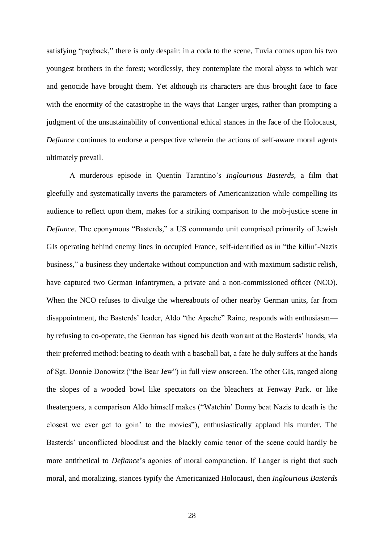satisfying "payback," there is only despair: in a coda to the scene, Tuvia comes upon his two youngest brothers in the forest; wordlessly, they contemplate the moral abyss to which war and genocide have brought them. Yet although its characters are thus brought face to face with the enormity of the catastrophe in the ways that Langer urges, rather than prompting a judgment of the unsustainability of conventional ethical stances in the face of the Holocaust, *Defiance* continues to endorse a perspective wherein the actions of self-aware moral agents ultimately prevail.

A murderous episode in Quentin Tarantino's *Inglourious Basterds*, a film that gleefully and systematically inverts the parameters of Americanization while compelling its audience to reflect upon them, makes for a striking comparison to the mob-justice scene in *Defiance*. The eponymous "Basterds," a US commando unit comprised primarily of Jewish GIs operating behind enemy lines in occupied France, self-identified as in "the killin'-Nazis business," a business they undertake without compunction and with maximum sadistic relish, have captured two German infantrymen, a private and a non-commissioned officer (NCO). When the NCO refuses to divulge the whereabouts of other nearby German units, far from disappointment, the Basterds' leader, Aldo "the Apache" Raine, responds with enthusiasm by refusing to co-operate, the German has signed his death warrant at the Basterds' hands, via their preferred method: beating to death with a baseball bat, a fate he duly suffers at the hands of Sgt. Donnie Donowitz ("the Bear Jew") in full view onscreen. The other GIs, ranged along the slopes of a wooded bowl like spectators on the bleachers at Fenway Park. or like theatergoers, a comparison Aldo himself makes ("Watchin' Donny beat Nazis to death is the closest we ever get to goin' to the movies"), enthusiastically applaud his murder. The Basterds' unconflicted bloodlust and the blackly comic tenor of the scene could hardly be more antithetical to *Defiance*'s agonies of moral compunction. If Langer is right that such moral, and moralizing, stances typify the Americanized Holocaust, then *Inglourious Basterds*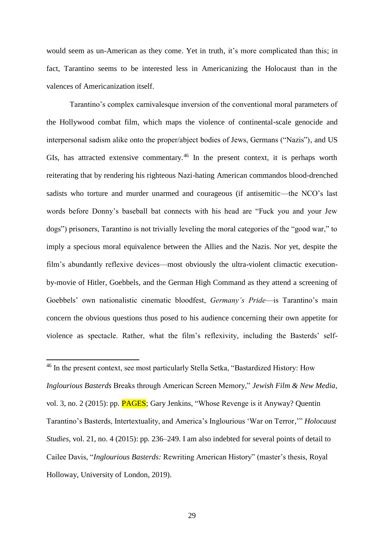would seem as un-American as they come. Yet in truth, it's more complicated than this; in fact, Tarantino seems to be interested less in Americanizing the Holocaust than in the valences of Americanization itself.

Tarantino's complex carnivalesque inversion of the conventional moral parameters of the Hollywood combat film, which maps the violence of continental-scale genocide and interpersonal sadism alike onto the proper/abject bodies of Jews, Germans ("Nazis"), and US GIs, has attracted extensive commentary.<sup>46</sup> In the present context, it is perhaps worth reiterating that by rendering his righteous Nazi-hating American commandos blood-drenched sadists who torture and murder unarmed and courageous (if antisemitic—the NCO's last words before Donny's baseball bat connects with his head are "Fuck you and your Jew dogs") prisoners, Tarantino is not trivially leveling the moral categories of the "good war," to imply a specious moral equivalence between the Allies and the Nazis. Nor yet, despite the film's abundantly reflexive devices—most obviously the ultra-violent climactic executionby-movie of Hitler, Goebbels, and the German High Command as they attend a screening of Goebbels' own nationalistic cinematic bloodfest, *Germany's Pride*—is Tarantino's main concern the obvious questions thus posed to his audience concerning their own appetite for violence as spectacle. Rather, what the film's reflexivity, including the Basterds' self-

<sup>46</sup> In the present context, see most particularly Stella Setka, "Bastardized History: How *Inglourious Basterds* Breaks through American Screen Memory," *Jewish Film & New Media*, vol. 3, no. 2 (2015): pp. PAGES; Gary Jenkins, "Whose Revenge is it Anyway? Quentin Tarantino's Basterds, Intertextuality, and America's Inglourious 'War on Terror,'" *Holocaust Studies*, vol. 21, no. 4 (2015): pp. 236–249. I am also indebted for several points of detail to Cailee Davis, "*Inglourious Basterds:* Rewriting American History" (master's thesis, Royal Holloway, University of London, 2019).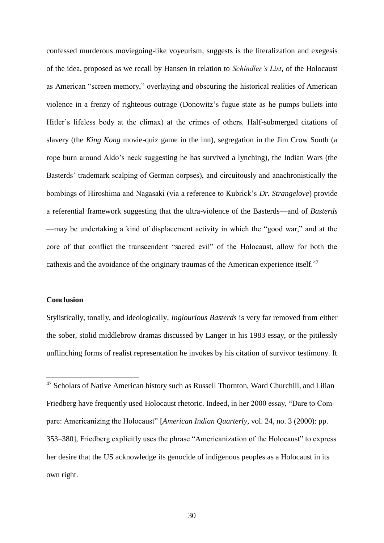confessed murderous moviegoing-like voyeurism, suggests is the literalization and exegesis of the idea, proposed as we recall by Hansen in relation to *Schindler's List*, of the Holocaust as American "screen memory," overlaying and obscuring the historical realities of American violence in a frenzy of righteous outrage (Donowitz's fugue state as he pumps bullets into Hitler's lifeless body at the climax) at the crimes of others. Half-submerged citations of slavery (the *King Kong* movie-quiz game in the inn), segregation in the Jim Crow South (a rope burn around Aldo's neck suggesting he has survived a lynching), the Indian Wars (the Basterds' trademark scalping of German corpses), and circuitously and anachronistically the bombings of Hiroshima and Nagasaki (via a reference to Kubrick's *Dr. Strangelove*) provide a referential framework suggesting that the ultra-violence of the Basterds—and of *Basterds* —may be undertaking a kind of displacement activity in which the "good war," and at the core of that conflict the transcendent "sacred evil" of the Holocaust, allow for both the cathexis and the avoidance of the originary traumas of the American experience itself.<sup>47</sup>

#### **Conclusion**

1

Stylistically, tonally, and ideologically, *Inglourious Basterds* is very far removed from either the sober, stolid middlebrow dramas discussed by Langer in his 1983 essay, or the pitilessly unflinching forms of realist representation he invokes by his citation of survivor testimony. It

<sup>&</sup>lt;sup>47</sup> Scholars of Native American history such as Russell Thornton, Ward Churchill, and Lilian Friedberg have frequently used Holocaust rhetoric. Indeed, in her 2000 essay, "Dare to Compare: Americanizing the Holocaust" [*American Indian Quarterly*, vol. 24, no. 3 (2000): pp. 353–380], Friedberg explicitly uses the phrase "Americanization of the Holocaust" to express her desire that the US acknowledge its genocide of indigenous peoples as a Holocaust in its own right.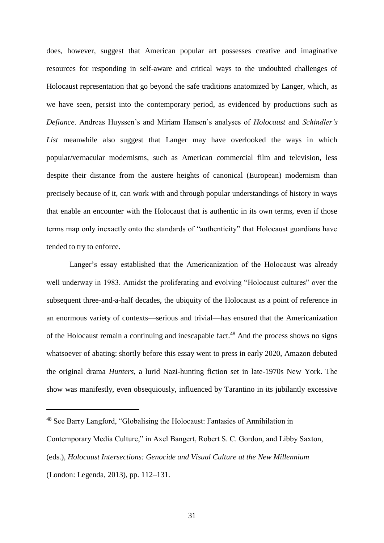does, however, suggest that American popular art possesses creative and imaginative resources for responding in self-aware and critical ways to the undoubted challenges of Holocaust representation that go beyond the safe traditions anatomized by Langer, which, as we have seen, persist into the contemporary period, as evidenced by productions such as *Defiance*. Andreas Huyssen's and Miriam Hansen's analyses of *Holocaust* and *Schindler's*  List meanwhile also suggest that Langer may have overlooked the ways in which popular/vernacular modernisms, such as American commercial film and television, less despite their distance from the austere heights of canonical (European) modernism than precisely because of it, can work with and through popular understandings of history in ways that enable an encounter with the Holocaust that is authentic in its own terms, even if those terms map only inexactly onto the standards of "authenticity" that Holocaust guardians have tended to try to enforce.

Langer's essay established that the Americanization of the Holocaust was already well underway in 1983. Amidst the proliferating and evolving "Holocaust cultures" over the subsequent three-and-a-half decades, the ubiquity of the Holocaust as a point of reference in an enormous variety of contexts—serious and trivial—has ensured that the Americanization of the Holocaust remain a continuing and inescapable fact.<sup>48</sup> And the process shows no signs whatsoever of abating: shortly before this essay went to press in early 2020, Amazon debuted the original drama *Hunters*, a lurid Nazi-hunting fiction set in late-1970s New York. The show was manifestly, even obsequiously, influenced by Tarantino in its jubilantly excessive

<sup>48</sup> See Barry Langford, "Globalising the Holocaust: Fantasies of Annihilation in

Contemporary Media Culture," in Axel Bangert, Robert S. C. Gordon, and Libby Saxton,

<sup>(</sup>eds.), *Holocaust Intersections: Genocide and Visual Culture at the New Millennium*

<sup>(</sup>London: Legenda, 2013), pp. 112–131.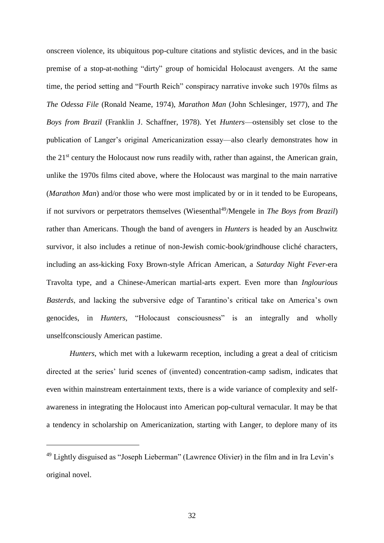onscreen violence, its ubiquitous pop-culture citations and stylistic devices, and in the basic premise of a stop-at-nothing "dirty" group of homicidal Holocaust avengers. At the same time, the period setting and "Fourth Reich" conspiracy narrative invoke such 1970s films as *The Odessa File* (Ronald Neame, 1974), *Marathon Man* (John Schlesinger, 1977), and *The Boys from Brazil* (Franklin J. Schaffner, 1978). Yet *Hunters*—ostensibly set close to the publication of Langer's original Americanization essay—also clearly demonstrates how in the 21<sup>st</sup> century the Holocaust now runs readily with, rather than against, the American grain, unlike the 1970s films cited above, where the Holocaust was marginal to the main narrative (*Marathon Man*) and/or those who were most implicated by or in it tended to be Europeans, if not survivors or perpetrators themselves (Wiesenthal<sup>49</sup>/Mengele in *The Boys from Brazil*) rather than Americans. Though the band of avengers in *Hunters* is headed by an Auschwitz survivor, it also includes a retinue of non-Jewish comic-book/grindhouse cliché characters, including an ass-kicking Foxy Brown-style African American, a *Saturday Night Fever*-era Travolta type, and a Chinese-American martial-arts expert. Even more than *Inglourious Basterds*, and lacking the subversive edge of Tarantino's critical take on America's own genocides, in *Hunters,* "Holocaust consciousness" is an integrally and wholly unselfconsciously American pastime.

*Hunters*, which met with a lukewarm reception, including a great a deal of criticism directed at the series' lurid scenes of (invented) concentration-camp sadism, indicates that even within mainstream entertainment texts, there is a wide variance of complexity and selfawareness in integrating the Holocaust into American pop-cultural vernacular. It may be that a tendency in scholarship on Americanization, starting with Langer, to deplore many of its

.

<sup>&</sup>lt;sup>49</sup> Lightly disguised as "Joseph Lieberman" (Lawrence Olivier) in the film and in Ira Levin's original novel.